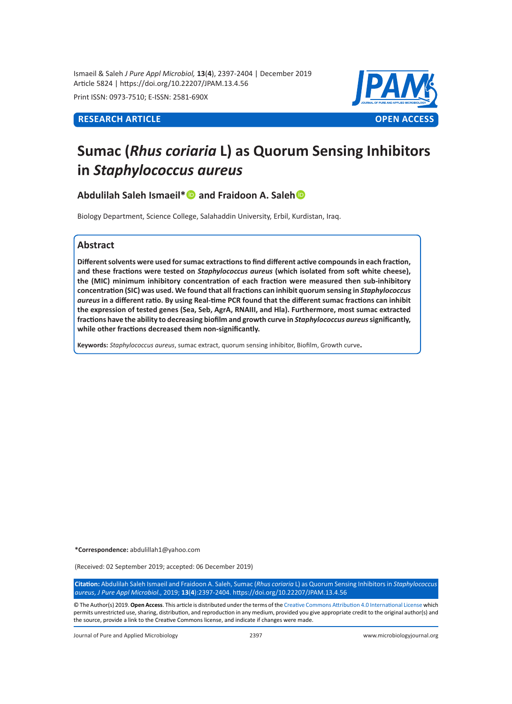Ismaeil & Saleh *J Pure Appl Microbiol,* **13**(**4**), 2397-2404 | December 2019 Article 5824 | https://doi.org/10.22207/JPAM.13.4.56

Print ISSN: 0973-7510; E-ISSN: 2581-690X



# **Sumac (***Rhus coriaria* **L) as Quorum Sensing Inhibitors in** *Staphylococcus aureus*

**Abdulilah Saleh Ismaeil\* and Fraidoon A. Saleh**

Biology Department, Science College, Salahaddin University, Erbil, Kurdistan, Iraq.

# **Abstract**

**Different solvents were used for sumac extractions to find different active compounds in each fraction, and these fractions were tested on** *Staphylococcus aureus* **(which isolated from soft white cheese), the (MIC) minimum inhibitory concentration of each fraction were measured then sub-inhibitory concentration (SIC) was used. We found that all fractions can inhibit quorum sensing in** *Staphylococcus aureus* **in a different ratio. By using Real-time PCR found that the different sumac fractions can inhibit the expression of tested genes (Sea, Seb, AgrA, RNAIII, and Hla). Furthermore, most sumac extracted fractions have the ability to decreasing biofilm and growth curve in** *Staphylococcus aureus* **significantly, while other fractions decreased them non-significantly.** 

**Keywords:** *Staphylococcus aureus*, sumac extract, quorum sensing inhibitor, Biofilm, Growth curve**.**

**\*Correspondence:** abdulillah1@yahoo.com

(Received: 02 September 2019; accepted: 06 December 2019)

**Citation:** Abdulilah Saleh Ismaeil and Fraidoon A. Saleh, Sumac (*Rhus coriaria* L) as Quorum Sensing Inhibitors in *Staphylococcus aureus*, *J Pure Appl Microbiol*., 2019; **13**(**4**):2397-2404. https://doi.org/10.22207/JPAM.13.4.56

© The Author(s) 2019. **Open Access**. This article is distributed under the terms of the [Creative Commons Attribution 4.0 International License](https://creativecommons.org/licenses/by/4.0/) which permits unrestricted use, sharing, distribution, and reproduction in any medium, provided you give appropriate credit to the original author(s) and the source, provide a link to the Creative Commons license, and indicate if changes were made.

Journal of Pure and Applied Microbiology 2397 www.microbiologyjournal.org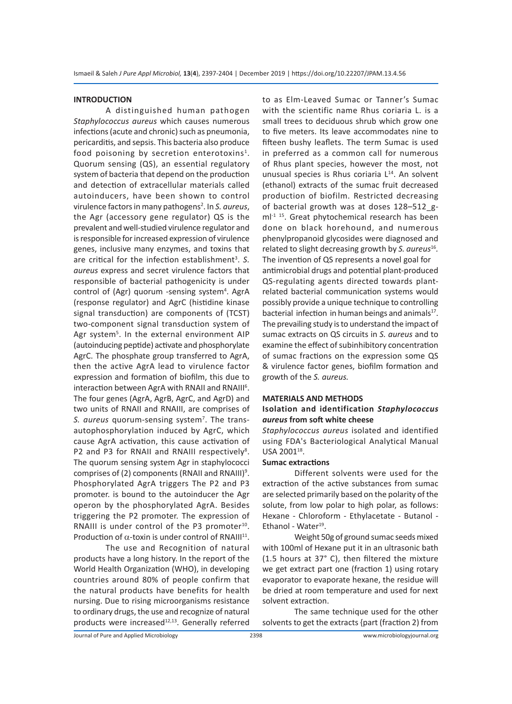#### **INTRODUCTION**

A distinguished human pathogen *Staphylococcus aureus* which causes numerous infections (acute and chronic) such as pneumonia, pericarditis, and sepsis. This bacteria also produce food poisoning by secretion enterotoxins<sup>1</sup>. Quorum sensing (QS), an essential regulatory system of bacteria that depend on the production and detection of extracellular materials called autoinducers, have been shown to control virulence factors in many pathogens<sup>2</sup>. In S. aureus, the Agr (accessory gene regulator) QS is the prevalent and well-studied virulence regulator and is responsible for increased expression of virulence genes, inclusive many enzymes, and toxins that are critical for the infection establishment<sup>3</sup>. S. *aureus* express and secret virulence factors that responsible of bacterial pathogenicity is under control of (Agr) quorum -sensing system<sup>4</sup>. AgrA (response regulator) and AgrC (histidine kinase signal transduction) are components of (TCST) two-component signal transduction system of Agr system<sup>5</sup>. In the external environment AIP (autoinducing peptide) activate and phosphorylate AgrC. The phosphate group transferred to AgrA, then the active AgrA lead to virulence factor expression and formation of biofilm, this due to interaction between AgrA with RNAII and RNAIII<sup>6</sup>. The four genes (AgrA, AgrB, AgrC, and AgrD) and two units of RNAII and RNAIII, are comprises of S. aureus quorum-sensing system<sup>7</sup>. The transautophosphorylation induced by AgrC, which cause AgrA activation, this cause activation of P2 and P3 for RNAII and RNAIII respectively<sup>8</sup>. The quorum sensing system Agr in staphylococci comprises of (2) components (RNAII and RNAIII)<sup>9</sup>. Phosphorylated AgrA triggers The P2 and P3 promoter. is bound to the autoinducer the Agr operon by the phosphorylated AgrA. Besides triggering the P2 promoter. The expression of RNAIII is under control of the P3 promoter<sup>10</sup>. Production of  $\alpha$ -toxin is under control of RNAIII<sup>11</sup>.

The use and Recognition of natural products have a long history. In the report of the World Health Organization (WHO), in developing countries around 80% of people confirm that the natural products have benefits for health nursing. Due to rising microorganisms resistance to ordinary drugs, the use and recognize of natural products were increased $^{12,13}$ . Generally referred to as Elm-Leaved Sumac or Tanner's Sumac with the scientific name Rhus coriaria L. is a small trees to deciduous shrub which grow one to five meters. Its leave accommodates nine to fifteen bushy leaflets. The term Sumac is used in preferred as a common call for numerous of Rhus plant species, however the most, not unusual species is Rhus coriaria L<sup>14</sup>. An solvent (ethanol) extracts of the sumac fruit decreased production of biofilm. Restricted decreasing of bacterial growth was at doses 128–512\_gml<sup>-1 15</sup>. Great phytochemical research has been done on black horehound, and numerous phenylpropanoid glycosides were diagnosed and related to slight decreasing growth by *S. aureus*16*.*  The invention of QS represents a novel goal for antimicrobial drugs and potential plant-produced QS-regulating agents directed towards plantrelated bacterial communication systems would possibly provide a unique technique to controlling bacterial infection in human beings and animals<sup>17</sup>. The prevailing study is to understand the impact of sumac extracts on QS circuits in *S. aureus* and to examine the effect of subinhibitory concentration of sumac fractions on the expression some QS & virulence factor genes, biofilm formation and growth of the *S. aureus.*

#### **MATERIALS AND METHODS**

# **Isolation and identification** *Staphylococcus aureus* **from soft white cheese**

*Staphylococcus aureus* isolated and identified using FDA's Bacteriological Analytical Manual USA 2001<sup>18</sup>.

#### **Sumac extractions**

Different solvents were used for the extraction of the active substances from sumac are selected primarily based on the polarity of the solute, from low polar to high polar, as follows: Hexane - Chloroform - Ethylacetate - Butanol - Ethanol - Water<sup>19</sup>.

Weight 50g of ground sumac seeds mixed with 100ml of Hexane put it in an ultrasonic bath (1.5 hours at 37° C), then filtered the mixture we get extract part one (fraction 1) using rotary evaporator to evaporate hexane, the residue will be dried at room temperature and used for next solvent extraction.

The same technique used for the other solvents to get the extracts {part (fraction 2) from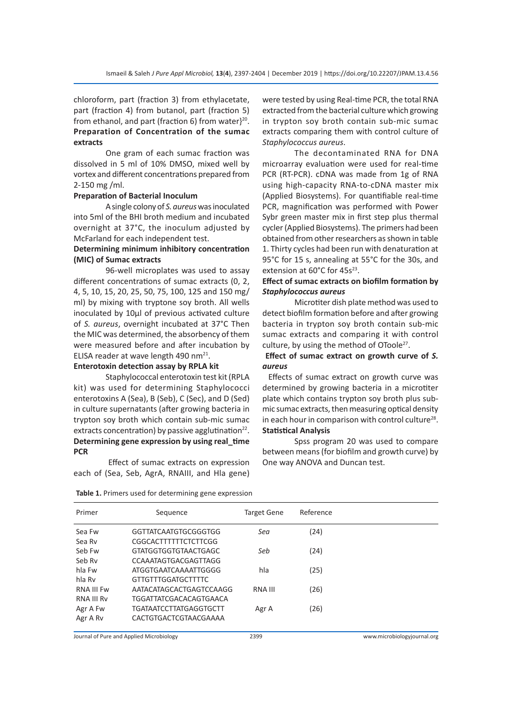chloroform, part (fraction 3) from ethylacetate, part (fraction 4) from butanol, part (fraction 5) from ethanol, and part (fraction 6) from water $3^{20}$ . **Preparation of Concentration of the sumac extracts**

One gram of each sumac fraction was dissolved in 5 ml of 10% DMSO, mixed well by vortex and different concentrations prepared from 2-150 mg /ml.

### **Preparation of Bacterial Inoculum**

A single colony of *S. aureus* was inoculated into 5ml of the BHI broth medium and incubated overnight at 37°C, the inoculum adjusted by McFarland for each independent test.

# **Determining minimum inhibitory concentration (MIC) of Sumac extracts**

96-well microplates was used to assay different concentrations of sumac extracts (0, 2, 4, 5, 10, 15, 20, 25, 50, 75, 100, 125 and 150 mg/ ml) by mixing with tryptone soy broth. All wells inoculated by 10µl of previous activated culture of *S. aureus*, overnight incubated at 37°C Then the MIC was determined, the absorbency of them were measured before and after incubation by ELISA reader at wave length 490 nm $^{21}$ .

# **Enterotoxin detection assay by RPLA kit**

Staphylococcal enterotoxin test kit (RPLA kit) was used for determining Staphylococci enterotoxins A (Sea), B (Seb), C (Sec), and D (Sed) in culture supernatants (after growing bacteria in trypton soy broth which contain sub-mic sumac extracts concentration) by passive agglutination $^{22}$ . **Determining gene expression by using real\_time PCR**

 Effect of sumac extracts on expression each of (Sea, Seb, AgrA, RNAIII, and Hla gene) were tested by using Real-time PCR, the total RNA extracted from the bacterial culture which growing in trypton soy broth contain sub-mic sumac extracts comparing them with control culture of *Staphylococcus aureus*.

The decontaminated RNA for DNA microarray evaluation were used for real-time PCR (RT-PCR). cDNA was made from 1g of RNA using high-capacity RNA-to-cDNA master mix (Applied Biosystems). For quantifiable real-time PCR, magnification was performed with Power Sybr green master mix in first step plus thermal cycler (Applied Biosystems). The primers had been obtained from other researchers as shown in table 1. Thirty cycles had been run with denaturation at 95°C for 15 s, annealing at 55°C for the 30s, and extension at 60°C for 45s<sup>23</sup>.

#### **Effect of sumac extracts on biofilm formation by**  *Staphylococcus aureus*

Microtiter dish plate method was used to detect biofilm formation before and after growing bacteria in trypton soy broth contain sub-mic sumac extracts and comparing it with control culture, by using the method of OToole<sup>27</sup>.

## **Effect of sumac extract on growth curve of** *S. aureus*

 Effects of sumac extract on growth curve was determined by growing bacteria in a microtiter plate which contains trypton soy broth plus submic sumac extracts, then measuring optical density in each hour in comparison with control culture<sup>28</sup>. **Statistical Analysis** 

Spss program 20 was used to compare between means (for biofilm and growth curve) by One way ANOVA and Duncan test.

| Primer            | Sequence                      | <b>Target Gene</b> | Reference |  |
|-------------------|-------------------------------|--------------------|-----------|--|
| Sea Fw            | GGTTATCAATGTGCGGGTGG          | Sea                | (24)      |  |
| Sea Rv            | CGGCACTTTTTTCTCTTCGG          |                    |           |  |
| Seb Fw            | <b>GTATGGTGGTGTAACTGAGC</b>   | Seb                | (24)      |  |
| Seb Rv            | CCAAATAGTGACGAGTTAGG          |                    |           |  |
| hla Fw            | ATGGTGAATCAAAATTGGGG          | hla                | (25)      |  |
| hla Rv            | GTTGTTTGGATGCTTTTC            |                    |           |  |
| <b>RNA III Fw</b> | AATACATAGCACTGAGTCCAAGG       | RNA III            | (26)      |  |
| <b>RNA III Rv</b> | TGGATTATCGACACAGTGAACA        |                    |           |  |
| Agr A Fw          | <b>TGATAATCCTTATGAGGTGCTT</b> | Agr A              | (26)      |  |
| Agr A Rv          | CACTGTGACTCGTAACGAAAA         |                    |           |  |
|                   |                               |                    |           |  |

**Table 1.** Primers used for determining gene expression

Journal of Pure and Applied Microbiology 2399 www.microbiologyjournal.org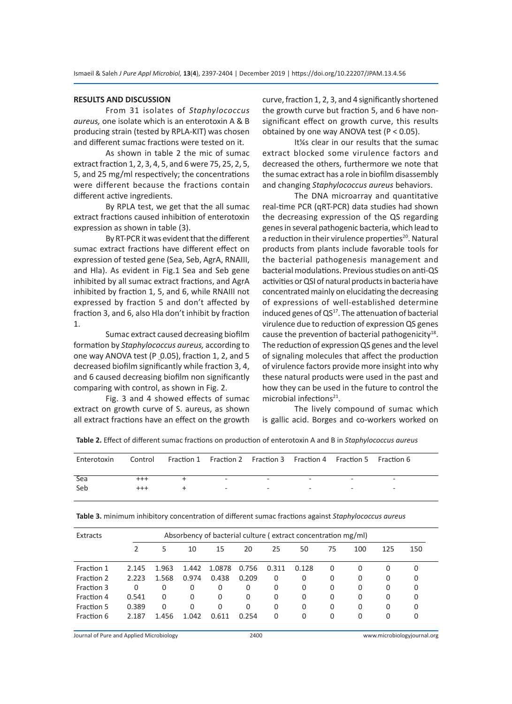#### **RESULTS AND DISCUSSION**

From 31 isolates of *Staphylococcus aureus,* one isolate which is an enterotoxin A & B producing strain (tested by RPLA-KIT) was chosen and different sumac fractions were tested on it.

As shown in table 2 the mic of sumac extract fraction 1, 2, 3, 4, 5, and 6 were 75, 25, 2, 5, 5, and 25 mg/ml respectively; the concentrations were different because the fractions contain different active ingredients.

By RPLA test, we get that the all sumac extract fractions caused inhibition of enterotoxin expression as shown in table (3).

By RT-PCR it was evident that the different sumac extract fractions have different effect on expression of tested gene (Sea, Seb, AgrA, RNAIII, and Hla). As evident in Fig.1 Sea and Seb gene inhibited by all sumac extract fractions, and AgrA inhibited by fraction 1, 5, and 6, while RNAIII not expressed by fraction 5 and don't affected by fraction 3, and 6, also Hla don't inhibit by fraction 1.

Sumac extract caused decreasing biofilm formation by *Staphylococcus aureus,* according to one way ANOVA test (P 0.05), fraction 1, 2, and 5 decreased biofilm significantly while fraction 3, 4, and 6 caused decreasing biofilm non significantly comparing with control, as shown in Fig. 2.

Fig. 3 and 4 showed effects of sumac extract on growth curve of S. aureus, as shown all extract fractions have an effect on the growth curve, fraction 1, 2, 3, and 4 significantly shortened the growth curve but fraction 5, and 6 have nonsignificant effect on growth curve, this results obtained by one way ANOVA test (P < 0.05).

It¼s clear in our results that the sumac extract blocked some virulence factors and decreased the others, furthermore we note that the sumac extract has a role in biofilm disassembly and changing *Staphylococcus aureus* behaviors.

The DNA microarray and quantitative real-time PCR (qRT-PCR) data studies had shown the decreasing expression of the QS regarding genes in several pathogenic bacteria, which lead to a reduction in their virulence properties<sup>20</sup>. Natural products from plants include favorable tools for the bacterial pathogenesis management and bacterial modulations. Previous studies on anti-QS activities or QSI of natural products in bacteria have concentrated mainly on elucidating the decreasing of expressions of well-established determine induced genes of  $QS^{17}$ . The attenuation of bacterial virulence due to reduction of expression QS genes cause the prevention of bacterial pathogenicity $18$ . The reduction of expression QS genes and the level of signaling molecules that affect the production of virulence factors provide more insight into why these natural products were used in the past and how they can be used in the future to control the microbial infections $21$ .

The lively compound of sumac which is gallic acid. Borges and co-workers worked on

**Table 2.** Effect of different sumac fractions on production of enterotoxin A and B in *Staphylococcus aureus*

| Enterotoxin     | Control Fraction 1 Fraction 2 Fraction 3 Fraction 4 Fraction 5 Fraction 6 |                                                 |                          |        |                          |  |
|-----------------|---------------------------------------------------------------------------|-------------------------------------------------|--------------------------|--------|--------------------------|--|
| Sea<br>$^{+++}$ |                                                                           | $\sim$                                          | $\overline{\phantom{0}}$ |        | $\overline{\phantom{a}}$ |  |
| Seb<br>$^{+++}$ |                                                                           | the contract of the contract of the contract of | $\sim$                   | $\sim$ | $\overline{\phantom{a}}$ |  |

| Extracts   | Absorbency of bacterial culture (extract concentration mg/ml) |       |       |          |       |       |       |          |     |     |     |
|------------|---------------------------------------------------------------|-------|-------|----------|-------|-------|-------|----------|-----|-----|-----|
|            |                                                               | 5     | 10    | 15       | 20    | 25    | 50    | 75       | 100 | 125 | 150 |
| Fraction 1 | 2.145                                                         | 1.963 | 1.442 | 1.0878   | 0.756 | 0.311 | 0.128 | $\Omega$ | 0   | 0   | 0   |
| Fraction 2 | 2.223                                                         | 1.568 | 0.974 | 0.438    | 0.209 | 0     | 0     | $\Omega$ | 0   | 0   | 0   |
| Fraction 3 | $\Omega$                                                      | 0     | 0     | 0        | 0     | 0     | 0     | $\Omega$ | 0   | 0   | 0   |
| Fraction 4 | 0.541                                                         | 0     | 0     | 0        | 0     | 0     | 0     | $\Omega$ | 0   | 0   | 0   |
| Fraction 5 | 0.389                                                         | 0     | 0     | $\Omega$ | 0     | 0     | 0     | $\Omega$ | 0   | 0   | 0   |
| Fraction 6 | 2.187                                                         | 1.456 | 1.042 | 0.611    | 0.254 | 0     | 0     | $\Omega$ | 0   | 0   | 0   |

**Table 3.** minimum inhibitory concentration of different sumac fractions against *Staphylococcus aureus*

Journal of Pure and Applied Microbiology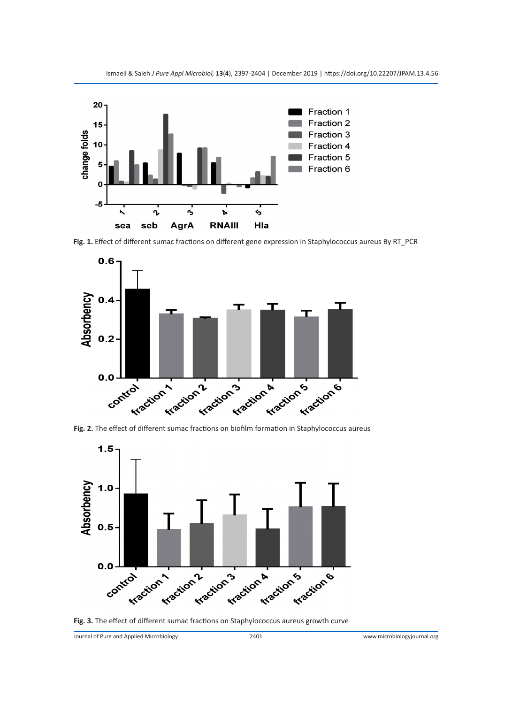

**Fig. 1.** Effect of different sumac fractions on different gene expression in Staphylococcus aureus By RT\_PCR



**Fig. 2.** The effect of different sumac fractions on biofilm formation in Staphylococcus aureus





Journal of Pure and Applied Microbiology 2401 www.microbiologyjournal.org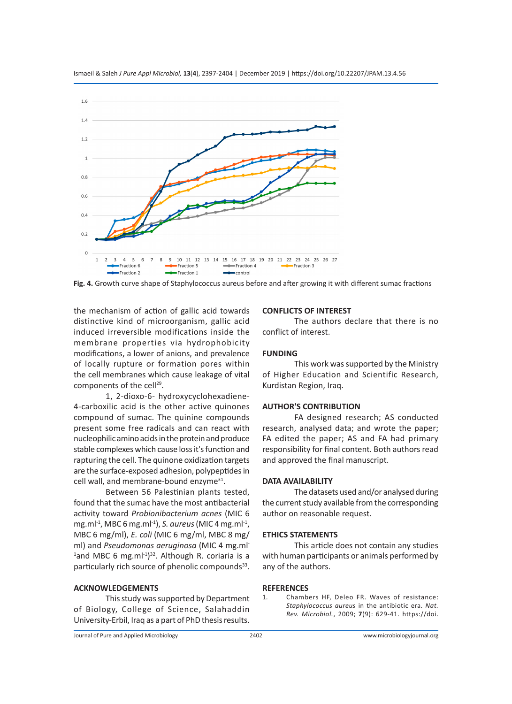

Ismaeil & Saleh *J Pure Appl Microbiol,* **13**(**4**), 2397-2404 | December 2019 | https://doi.org/10.22207/JPAM.13.4.56

**Fig. 4.** Growth curve shape of Staphylococcus aureus before and after growing it with different sumac fractions

the mechanism of action of gallic acid towards distinctive kind of microorganism, gallic acid induced irreversible modifications inside the membrane properties via hydrophobicity modifications, a lower of anions, and prevalence of locally rupture or formation pores within the cell membranes which cause leakage of vital components of the cell<sup>29</sup>.

1, 2-dioxo-6- hydroxycyclohexadiene-4-carboxilic acid is the other active quinones compound of sumac. The quinine compounds present some free radicals and can react with nucleophilic amino acids in the protein and produce stable complexes which cause loss it's function and rapturing the cell. The quinone oxidization targets are the surface-exposed adhesion, polypeptides in cell wall, and membrane-bound enzyme<sup>31</sup>.

Between 56 Palestinian plants tested, found that the sumac have the most antibacterial activity toward *Probionibacterium acnes* (MIC 6 mg.ml-1, MBC 6 mg.ml-1), *S. aureus* (MIC 4 mg.ml-1, MBC 6 mg/ml), *E. coli* (MIC 6 mg/ml, MBC 8 mg/ ml) and *Pseudomonas aeruginosa* (MIC 4 mg.ml- $^{1}$ and MBC 6 mg.ml $^{-1})^{32}$ . Although R. coriaria is a particularly rich source of phenolic compounds<sup>33</sup>.

### **ACKNOWLEDGEMENTS**

This study was supported by Department of Biology, College of Science, Salahaddin University-Erbil, Iraq as a part of PhD thesis results.

#### **CONFLICTS OF INTEREST**

The authors declare that there is no conflict of interest.

#### **FUNDING**

This work was supported by the Ministry of Higher Education and Scientific Research, Kurdistan Region, Iraq.

#### **AUTHOR'S CONTRIBUTION**

FA designed research; AS conducted research, analysed data; and wrote the paper; FA edited the paper; AS and FA had primary responsibility for final content. Both authors read and approved the final manuscript.

#### **DATA AVAILABILITY**

The datasets used and/or analysed during the current study available from the corresponding author on reasonable request.

#### **ETHICS STATEMENTS**

This article does not contain any studies with human participants or animals performed by any of the authors.

#### **REFERENCES**

1. Chambers HF, Deleo FR. Waves of resistance: *Staphylococcus aureus* in the antibiotic era. *Nat. Rev. Microbiol.*, 2009; **7**(9): 629-41. https://doi.

Journal of Pure and Applied Microbiology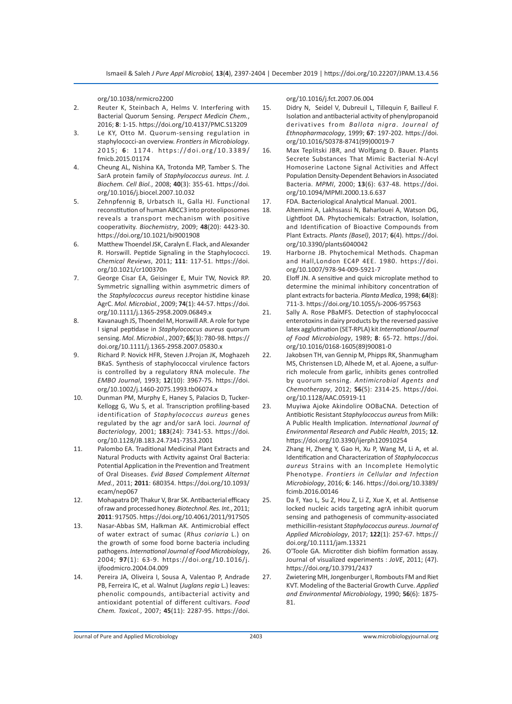org/10.1038/nrmicro2200

- 2. Reuter K, Steinbach A, Helms V. Interfering with Bacterial Quorum Sensing. *Perspect Medicin Chem.*, 2016; **8**: 1-15. https://doi.org/10.4137/PMC.S13209
- 3. Le KY, Otto M. Quorum-sensing regulation in staphylococci-an overview. *Frontiers in Microbiology*. 2015; **6**: 1174. https://doi.org/10.3389/ fmicb.2015.01174
- 4. Cheung AL, Nishina KA, Trotonda MP, Tamber S. The SarA protein family of *Staphylococcus aureus*. *Int. J. Biochem. Cell Biol.*, 2008; **40**(3): 355-61. https://doi. org/10.1016/j.biocel.2007.10.032
- 5. Zehnpfennig B, Urbatsch IL, Galla HJ. Functional reconstitution of human ABCC3 into proteoliposomes reveals a transport mechanism with positive cooperativity. *Biochemistry*, 2009; **48**(20): 4423-30. https://doi.org/10.1021/bi9001908
- 6. Matthew Thoendel JSK, Caralyn E. Flack, and Alexander R. Horswill. Peptide Signaling in the Staphylococci. *Chemical Reviews*, 2011; **111**: 117-51. https://doi. org/10.1021/cr100370n
- 7. George Cisar EA, Geisinger E, Muir TW, Novick RP. Symmetric signalling within asymmetric dimers of the *Staphylococcus aureus* receptor histidine kinase AgrC. *Mol. Microbiol.*, 2009; **74**(1): 44-57. https://doi. org/10.1111/j.1365-2958.2009.06849.x
- 8. Kavanaugh JS, Thoendel M, Horswill AR. A role for type I signal peptidase in *Staphylococcus aureus* quorum sensing. *Mol. Microbiol.*, 2007; **65**(3): 780-98. https:// doi.org/10.1111/j.1365-2958.2007.05830.x
- 9. Richard P. Novick HFR, Steven J.Projan JK, Moghazeh BKaS. Synthesis of staphylococcal virulence factors is controlled by a regulatory RNA molecule. *The EMBO Journal*, 1993; **12**(10): 3967-75. https://doi. org/10.1002/j.1460-2075.1993.tb06074.x
- 10. Dunman PM, Murphy E, Haney S, Palacios D, Tucker-Kellogg G, Wu S, et al. Transcription profiling-based identification of *Staphylococcus aureus* genes regulated by the agr and/or sarA loci. *Journal of Bacteriology*, 2001; **183**(24): 7341-53. https://doi. org/10.1128/JB.183.24.7341-7353.2001
- 11. Palombo EA. Traditional Medicinal Plant Extracts and Natural Products with Activity against Oral Bacteria: Potential Application in the Prevention and Treatment of Oral Diseases. *Evid Based Complement Alternat Med.*, 2011; **2011**: 680354. https://doi.org/10.1093/ ecam/nep067
- 12. Mohapatra DP, Thakur V, Brar SK. Antibacterial efficacy of raw and processed honey. *Biotechnol. Res. Int.*, 2011; **2011**: 917505. https://doi.org/10.4061/2011/917505
- 13. Nasar-Abbas SM, Halkman AK. Antimicrobial effect of water extract of sumac (*Rhus coriaria* L.) on the growth of some food borne bacteria including pathogens. *International Journal of Food Microbiology*, 2004; **97**(1): 63-9. https://doi.org/10.1016/j. ijfoodmicro.2004.04.009
- 14. Pereira JA, Oliveira I, Sousa A, Valentao P, Andrade PB, Ferreira IC, et al. Walnut (*Juglans regia* L.) leaves: phenolic compounds, antibacterial activity and antioxidant potential of different cultivars. *Food Chem. Toxicol.*, 2007; **45**(11): 2287-95. https://doi.

org/10.1016/j.fct.2007.06.004

- 15. Didry N, Seidel V, Dubreuil L, Tillequin F, Bailleul F. Isolation and antibacterial activity of phenylpropanoid derivatives from *Ballota nigra*. *Journal of Ethnopharmacology*, 1999; **67**: 197-202. https://doi. org/10.1016/S0378-8741(99)00019-7
- 16. Max Teplitski JBR, and Wolfgang D. Bauer. Plants Secrete Substances That Mimic Bacterial N-Acyl Homoserine Lactone Signal Activities and Affect Population Density-Dependent Behaviors in Associated Bacteria. *MPMI*, 2000; **13**(6): 637-48. https://doi. org/10.1094/MPMI.2000.13.6.637
- 17. FDA. Bacteriological Analytical Manual. 2001.
- 18. Altemimi A, Lakhssassi N, Baharlouei A, Watson DG, Lightfoot DA. Phytochemicals: Extraction, Isolation, and Identification of Bioactive Compounds from Plant Extracts. *Plants (Basel)*, 2017; **6**(4). https://doi. org/10.3390/plants6040042
- 19. Harborne JB. Phytochemical Methods. Chapman and Hall,London EC4P 4EE. 1980. https://doi. org/10.1007/978-94-009-5921-7
- 20. Eloff JN. A sensitive and quick microplate method to determine the minimal inhibitory concentration of plant extracts for bacteria. *Planta Medica*, 1998; **64**(8): 711-3. https://doi.org/10.1055/s-2006-957563
- 21. Sally A. Rose PBaMFS. Detection of staphylococcal enterotoxins in dairy products by the reversed passive latex agglutination (SET-RPLA) kit *International Journal of Food Microbiology*, 1989; **8**: 65-72. https://doi. org/10.1016/0168-1605(89)90081-0
- 22. Jakobsen TH, van Gennip M, Phipps RK, Shanmugham MS, Christensen LD, Alhede M, et al. Ajoene, a sulfurrich molecule from garlic, inhibits genes controlled by quorum sensing. *Antimicrobial Agents and Chemotherapy*, 2012; **56**(5): 2314-25. https://doi. org/10.1128/AAC.05919-11
- 23. Muyiwa Ajoke Akindolire OOBaCNA. Detection of Antibiotic Resistant *Staphylococcus aureus* from Milk: A Public Health Implication. *International Journal of Environmental Research and Public Health*, 2015; **12**. https://doi.org/10.3390/ijerph120910254
- 24. Zhang H, Zheng Y, Gao H, Xu P, Wang M, Li A, et al. Identification and Characterization of *Staphylococcus aureus* Strains with an Incomplete Hemolytic Phenotype. *Frontiers in Cellular and Infection Microbiology*, 2016; **6**: 146. https://doi.org/10.3389/ fcimb.2016.00146
- 25. Da F, Yao L, Su Z, Hou Z, Li Z, Xue X, et al. Antisense locked nucleic acids targeting agrA inhibit quorum sensing and pathogenesis of community-associated methicillin-resistant *Staphylococcus aureus*. *Journal of Applied Microbiology*, 2017; **122**(1): 257-67. https:// doi.org/10.1111/jam.13321
- 26. O'Toole GA. Microtiter dish biofilm formation assay. Journal of visualized experiments : *JoVE*, 2011; (47). https://doi.org/10.3791/2437
- 27. Zwietering MH, Jongenburger I, Rombouts FM and Riet KVT. Modeling of the Bacterial Growth Curve. *Applied and Environmental Microbiology*, 1990; **56**(6): 1875- 81.